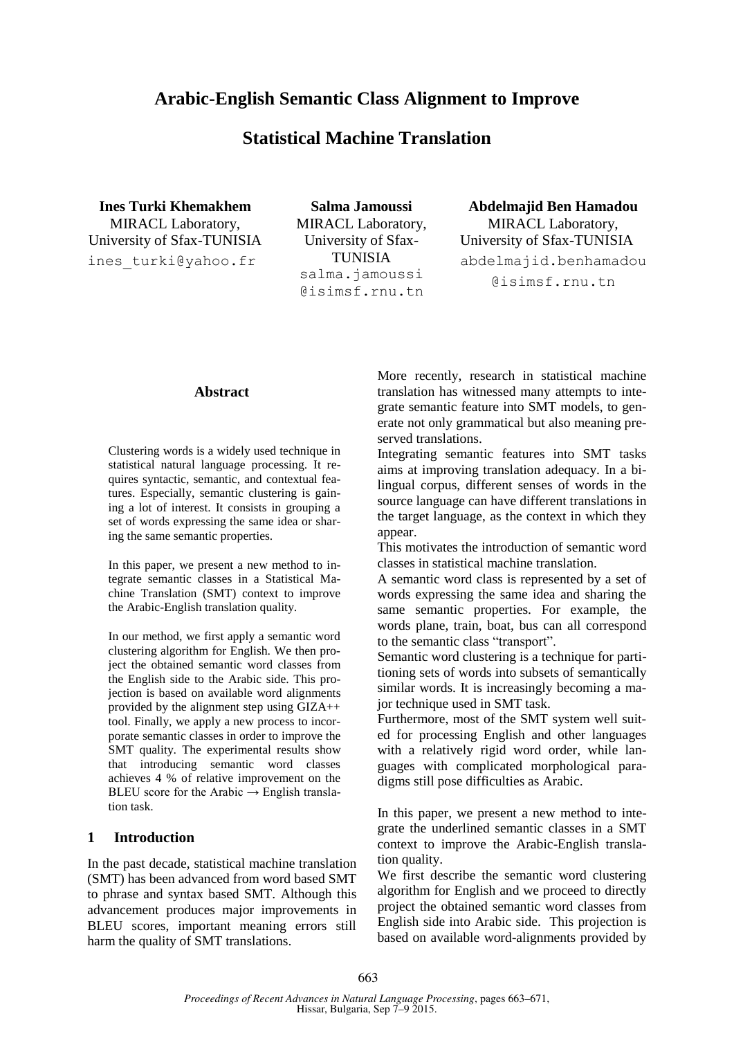# **Arabic-English Semantic Class Alignment to Improve**

# **Statistical Machine Translation**

**Ines Turki Khemakhem** MIRACL Laboratory, University of Sfax-TUNISIA ines\_turki@yahoo.fr

**Salma Jamoussi** MIRACL Laboratory, University of Sfax-TUNISIA salma.jamoussi @isimsf.rnu.tn

**Abdelmajid Ben Hamadou** MIRACL Laboratory, University of Sfax-TUNISIA abdelmajid.benhamadou @isimsf.rnu.tn

#### **Abstract**

Clustering words is a widely used technique in statistical natural language processing. It requires syntactic, semantic, and contextual features. Especially, semantic clustering is gaining a lot of interest. It consists in grouping a set of words expressing the same idea or sharing the same semantic properties.

In this paper, we present a new method to integrate semantic classes in a Statistical Machine Translation (SMT) context to improve the Arabic-English translation quality.

In our method, we first apply a semantic word clustering algorithm for English. We then project the obtained semantic word classes from the English side to the Arabic side. This projection is based on available word alignments provided by the alignment step using GIZA++ tool. Finally, we apply a new process to incorporate semantic classes in order to improve the SMT quality. The experimental results show that introducing semantic word classes achieves 4 % of relative improvement on the BLEU score for the Arabic  $\rightarrow$  English translation task.

#### **1 Introduction**

In the past decade, statistical machine translation (SMT) has been advanced from word based SMT to phrase and syntax based SMT. Although this advancement produces major improvements in BLEU scores, important meaning errors still harm the quality of SMT translations.

More recently, research in statistical machine translation has witnessed many attempts to integrate semantic feature into SMT models, to generate not only grammatical but also meaning preserved translations.

Integrating semantic features into SMT tasks aims at improving translation adequacy. In a bilingual corpus, different senses of words in the source language can have different translations in the target language, as the context in which they appear.

This motivates the introduction of semantic word classes in statistical machine translation.

A semantic word class is represented by a set of words expressing the same idea and sharing the same semantic properties. For example, the words plane, train, boat, bus can all correspond to the semantic class "transport".

Semantic word clustering is a technique for partitioning sets of words into subsets of semantically similar words. It is increasingly becoming a major technique used in SMT task.

Furthermore, most of the SMT system well suited for processing English and other languages with a relatively rigid word order, while languages with complicated morphological paradigms still pose difficulties as Arabic.

In this paper, we present a new method to integrate the underlined semantic classes in a SMT context to improve the Arabic-English translation quality.

We first describe the semantic word clustering algorithm for English and we proceed to directly project the obtained semantic word classes from English side into Arabic side. This projection is based on available word-alignments provided by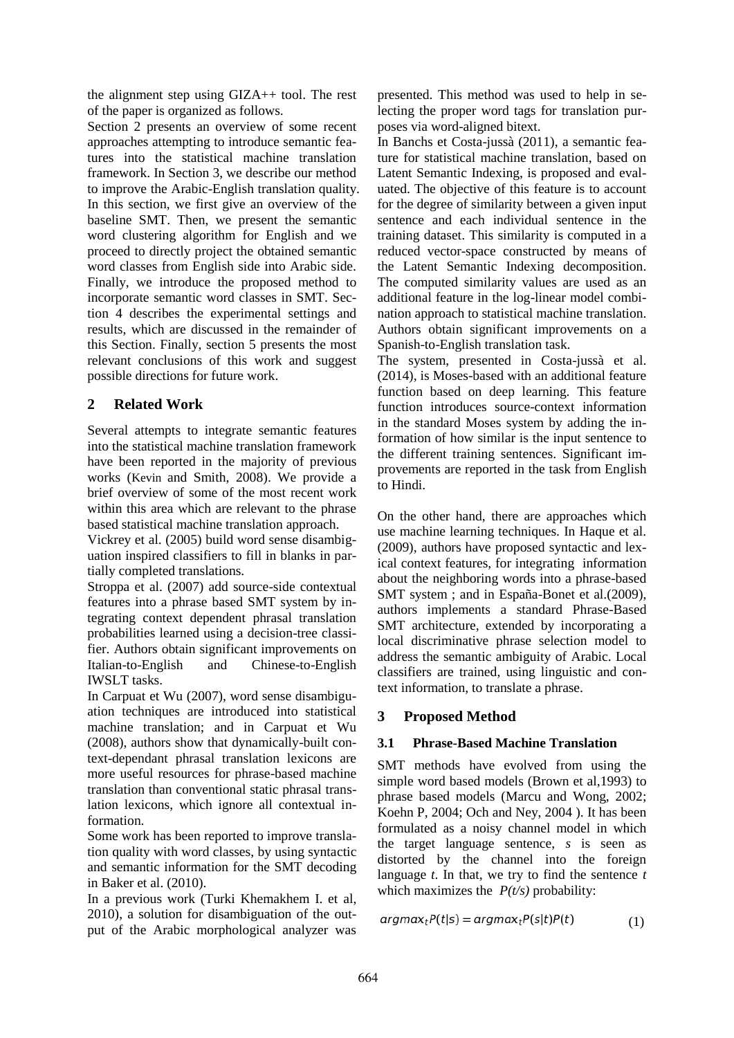the alignment step using GIZA++ tool. The rest of the paper is organized as follows.

Section 2 presents an overview of some recent approaches attempting to introduce semantic features into the statistical machine translation framework. In Section 3, we describe our method to improve the Arabic-English translation quality. In this section, we first give an overview of the baseline SMT. Then, we present the semantic word clustering algorithm for English and we proceed to directly project the obtained semantic word classes from English side into Arabic side. Finally, we introduce the proposed method to incorporate semantic word classes in SMT. Section 4 describes the experimental settings and results, which are discussed in the remainder of this Section. Finally, section 5 presents the most relevant conclusions of this work and suggest possible directions for future work.

## **2 Related Work**

Several attempts to integrate semantic features into the statistical machine translation framework have been reported in the majority of previous works (Kevin and Smith, 2008). We provide a brief overview of some of the most recent work within this area which are relevant to the phrase based statistical machine translation approach.

Vickrey et al. (2005) build word sense disambiguation inspired classifiers to fill in blanks in partially completed translations.

Stroppa et al. (2007) add source-side contextual features into a phrase based SMT system by integrating context dependent phrasal translation probabilities learned using a decision-tree classifier. Authors obtain significant improvements on Italian-to-English and Chinese-to-English IWSLT tasks.

In Carpuat et Wu (2007), word sense disambiguation techniques are introduced into statistical machine translation; and in Carpuat et Wu (2008), authors show that dynamically-built context-dependant phrasal translation lexicons are more useful resources for phrase-based machine translation than conventional static phrasal translation lexicons, which ignore all contextual information.

Some work has been reported to improve translation quality with word classes, by using syntactic and semantic information for the SMT decoding in Baker et al. (2010).

In a previous work (Turki Khemakhem I. et al, 2010), a solution for disambiguation of the output of the Arabic morphological analyzer was

presented. This method was used to help in selecting the proper word tags for translation purposes via word-aligned bitext.

In Banchs et Costa-jussà (2011), a semantic feature for statistical machine translation, based on Latent Semantic Indexing, is proposed and evaluated. The objective of this feature is to account for the degree of similarity between a given input sentence and each individual sentence in the training dataset. This similarity is computed in a reduced vector-space constructed by means of the Latent Semantic Indexing decomposition. The computed similarity values are used as an additional feature in the log-linear model combination approach to statistical machine translation. Authors obtain significant improvements on a Spanish-to-English translation task.

The system, presented in Costa-jussà et al. (2014), is Moses-based with an additional feature function based on deep learning. This feature function introduces source-context information in the standard Moses system by adding the information of how similar is the input sentence to the different training sentences. Significant improvements are reported in the task from English to Hindi.

On the other hand, there are approaches which use machine learning techniques. In Haque et al. (2009), authors have proposed syntactic and lexical context features, for integrating information about the neighboring words into a phrase-based SMT system ; and in España-Bonet et al.(2009), authors implements a standard Phrase-Based SMT architecture, extended by incorporating a local discriminative phrase selection model to address the semantic ambiguity of Arabic. Local classifiers are trained, using linguistic and context information, to translate a phrase.

## **3 Proposed Method**

## **3.1 Phrase-Based Machine Translation**

SMT methods have evolved from using the simple word based models (Brown et al,1993) to phrase based models (Marcu and Wong, 2002; Koehn P, 2004; Och and Ney, 2004 ). It has been formulated as a noisy channel model in which the target language sentence, *s* is seen as distorted by the channel into the foreign language *t*. In that, we try to find the sentence *t* which maximizes the  $P(t/s)$  probability:

$$
argmax_{t} P(t|s) = argmax_{t} P(s|t) P(t)
$$
\n(1)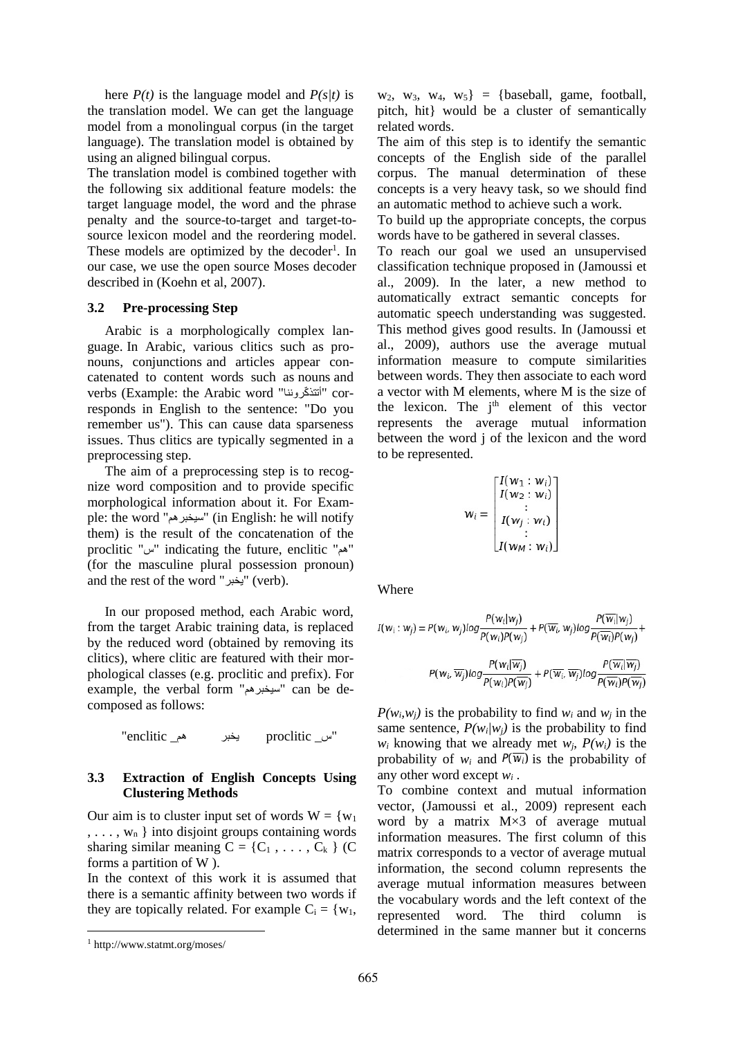here  $P(t)$  is the language model and  $P(s/t)$  is the translation model. We can get the language model from a monolingual corpus (in the target language). The translation model is obtained by using an aligned bilingual corpus.

The translation model is combined together with the following six additional feature models: the target language model, the word and the phrase penalty and the source-to-target and target-tosource lexicon model and the reordering model. These models are optimized by the decoder<sup>1</sup>. In our case, we use the open source Moses decoder described in (Koehn et al, 2007).

#### **3.2 Pre-processing Step**

Arabic is a morphologically complex language. In Arabic, various clitics such as pronouns, conjunctions and articles appear concatenated to content words such as nouns and verbs (Example: the Arabic word "أتتذكّروننا" corresponds in English to the sentence: "Do you remember us"). This can cause data sparseness issues. Thus clitics are typically segmented in a preprocessing step.

The aim of a preprocessing step is to recognize word composition and to provide specific morphological information about it. For Example: the word "سيخبرھم) "in English: he will notify them) is the result of the concatenation of the proclitic "س "indicating the future, enclitic "ھم " (for the masculine plural possession pronoun) and the rest of the word "يخبر" (verb).

In our proposed method, each Arabic word, from the target Arabic training data, is replaced by the reduced word (obtained by removing its clitics), where clitic are featured with their morphological classes (e.g. proclitic and prefix). For example, the verbal form "سيخبرھم "can be decomposed as follows:

"س\_ proclitic يخبر ھم\_ enclitic"

### **3.3 Extraction of English Concepts Using Clustering Methods**

Our aim is to cluster input set of words  $W = \{w_1\}$  $, \ldots, w_n$  } into disjoint groups containing words sharing similar meaning  $C = \{C_1, \ldots, C_k\}$  (C) forms a partition of W ).

In the context of this work it is assumed that there is a semantic affinity between two words if they are topically related. For example  $C_i = \{w_1,$ 

 $w_2$ ,  $w_3$ ,  $w_4$ ,  $w_5$ } = {baseball, game, football, pitch, hit} would be a cluster of semantically related words.

The aim of this step is to identify the semantic concepts of the English side of the parallel corpus. The manual determination of these concepts is a very heavy task, so we should find an automatic method to achieve such a work.

To build up the appropriate concepts, the corpus words have to be gathered in several classes.

To reach our goal we used an unsupervised classification technique proposed in (Jamoussi et al., 2009). In the later, a new method to automatically extract semantic concepts for automatic speech understanding was suggested. This method gives good results. In (Jamoussi et al., 2009), authors use the average mutual information measure to compute similarities between words. They then associate to each word a vector with M elements, where M is the size of the lexicon. The  $i<sup>th</sup>$  element of this vector represents the average mutual information between the word j of the lexicon and the word to be represented.

$$
w_i = \begin{bmatrix} I(w_1:w_i) \\ I(w_2:w_i) \\ \vdots \\ I(w_j:w_i) \\ \vdots \\ I(w_M:w_i) \end{bmatrix}
$$

**Where** 

$$
I(w_i:w_j) = P(w_i, w_j)log \frac{P(w_i|w_j)}{P(w_i)P(w_j)} + P(\overline{w_i}, w_j)log \frac{P(\overline{w_i}|w_j)}{P(\overline{w_i})P(w_j)} + P(\overline{w_i}, \overline{w_j})log \frac{P(w_i|\overline{w_j})}{P(w_i)\overline{P(w_j)}} + P(\overline{w_i}, \overline{w_j})log \frac{P(\overline{w_i}|\overline{w_j})}{P(\overline{w_i})P(\overline{w_j})}
$$

 $P(w_i, w_i)$  is the probability to find  $w_i$  and  $w_i$  in the same sentence,  $P(w_i|w_i)$  is the probability to find *w*<sub>i</sub> knowing that we already met *w*<sub>*i*</sub>,  $P(w_i)$  is the probability of  $w_i$  and  $P(\overline{w_i})$  is the probability of any other word except *w<sup>i</sup>* .

To combine context and mutual information vector, (Jamoussi et al., 2009) represent each word by a matrix M×3 of average mutual information measures. The first column of this matrix corresponds to a vector of average mutual information, the second column represents the average mutual information measures between the vocabulary words and the left context of the represented word. The third column is determined in the same manner but it concerns

<sup>1</sup> http://www.statmt.org/moses/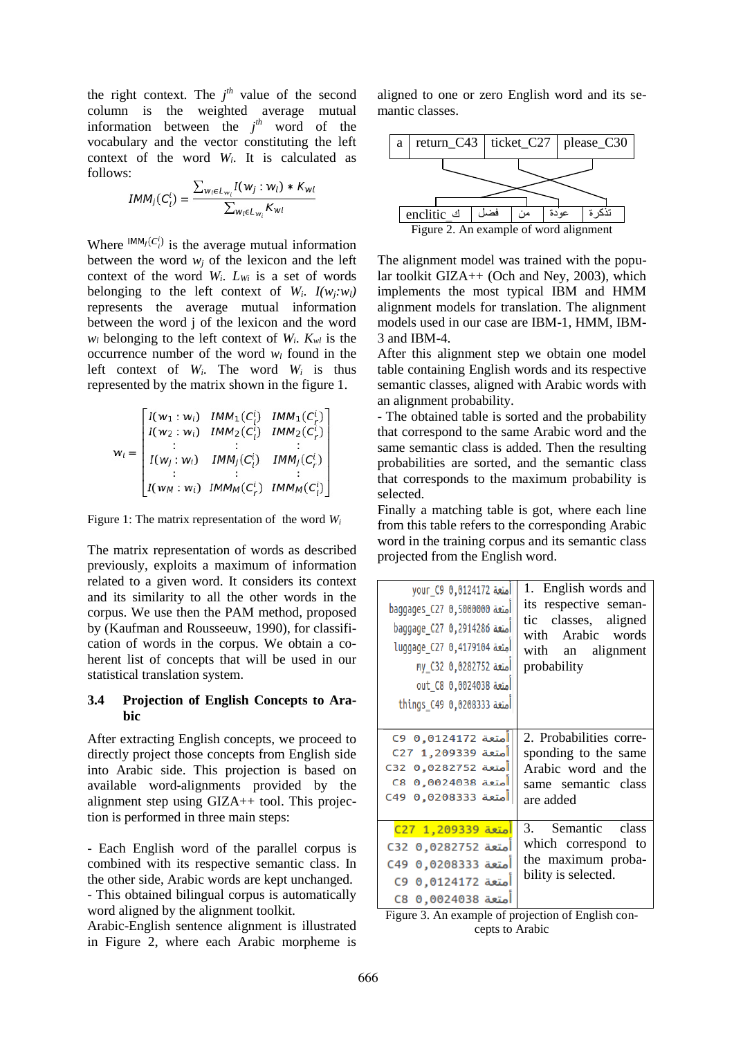the right context. The  $j<sup>th</sup>$  value of the second column is the weighted average mutual information between the  $j<sup>th</sup>$  word of the vocabulary and the vector constituting the left context of the word *Wi*. It is calculated as follows:

$$
IMM_j(C_l^i) = \frac{\sum_{w_l \in L_{w_i}} I(w_j : w_l) * K_w}{\sum_{w_l \in L_{w_i}} K_{wl}}
$$

Where  $IMM_j(C_i^i)$  is the average mutual information between the word  $w_i$  of the lexicon and the left context of the word *Wi*. *LWi* is a set of words belonging to the left context of  $W_i$ .  $I(w_i; w_i)$ represents the average mutual information between the word j of the lexicon and the word  $w_l$  belonging to the left context of  $W_i$ .  $K_{wl}$  is the occurrence number of the word  $w_l$  found in the left context of  $W_i$ . The word  $W_i$  is thus represented by the matrix shown in the figure 1.

$$
w_{i} = \begin{bmatrix} I(w_{1}: w_{i}) & IMM_{1}(C_{i}^{i}) & IMM_{1}(C_{r}^{i}) \\ I(w_{2}: w_{i}) & IMM_{2}(C_{i}^{i}) & IMM_{2}(C_{r}^{i}) \\ \vdots & \vdots & \vdots \\ I(w_{j}: w_{i}) & IMM_{j}(C_{i}^{i}) & IMM_{j}(C_{r}^{i}) \\ I(w_{M}: w_{i}) & IMM_{M}(C_{r}^{i}) & IMM_{M}(C_{i}^{i}) \end{bmatrix}
$$

Figure 1: The matrix representation of the word *W<sup>i</sup>*

The matrix representation of words as described previously, exploits a maximum of information related to a given word. It considers its context and its similarity to all the other words in the corpus. We use then the PAM method, proposed by (Kaufman and Rousseeuw, 1990), for classification of words in the corpus. We obtain a coherent list of concepts that will be used in our statistical translation system.

### **3.4 Projection of English Concepts to Arabic**

After extracting English concepts, we proceed to directly project those concepts from English side into Arabic side. This projection is based on available word-alignments provided by the alignment step using GIZA++ tool. This projection is performed in three main steps:

- Each English word of the parallel corpus is combined with its respective semantic class. In the other side, Arabic words are kept unchanged. - This obtained bilingual corpus is automatically

word aligned by the alignment toolkit.

Arabic-English sentence alignment is illustrated in Figure 2, where each Arabic morpheme is aligned to one or zero English word and its semantic classes.



The alignment model was trained with the popular toolkit GIZA++ (Och and Ney, 2003), which implements the most typical IBM and HMM alignment models for translation. The alignment models used in our case are IBM-1, HMM, IBM-3 and IBM-4.

After this alignment step we obtain one model table containing English words and its respective semantic classes, aligned with Arabic words with an alignment probability.

- The obtained table is sorted and the probability that correspond to the same Arabic word and the same semantic class is added. Then the resulting probabilities are sorted, and the semantic class that corresponds to the maximum probability is selected.

Finally a matching table is got, where each line from this table refers to the corresponding Arabic word in the training corpus and its semantic class projected from the English word.

| امتعة your_C9_0,0124172                                                                                                  | 1. English words and                                                                  |  |
|--------------------------------------------------------------------------------------------------------------------------|---------------------------------------------------------------------------------------|--|
| baggages_C27 0,500000 baggages                                                                                           | its respective seman-                                                                 |  |
| <b>baggage_C27_0,2914286</b>                                                                                             | tic classes, aligned                                                                  |  |
| <b>luggage_C27 0,4179104</b> متعة                                                                                        | Arabic words                                                                          |  |
| امتعة 0,0282752 ny_C32                                                                                                   | with                                                                                  |  |
| <b>out_C8_0,0024038</b> aut                                                                                              | with an alignment                                                                     |  |
| <b>lo</b> 10,0208333 things_C49                                                                                          | probability                                                                           |  |
| <b>C9 0,0124172</b> وC9                                                                                                  | 2. Probabilities corre-                                                               |  |
| امتعة C27 1,209339                                                                                                       | sponding to the same                                                                  |  |
| <b>امتعة 0,0282752 C32</b>                                                                                               | Arabic word and the                                                                   |  |
| امتعة 0,0024038 C8                                                                                                       | same semantic class                                                                   |  |
| <b>امتعة 0,0208333</b> C49                                                                                               | are added                                                                             |  |
| امتعة 209339 C27<br>امتعة 0,0282752 C32<br><b>امتعة 0,0208333</b> C49<br><b>امتعة 0124172 C9</b> 0<br>امتعة 0,0024038 C8 | 3. Semantic class<br>which correspond to<br>the maximum proba-<br>bility is selected. |  |

Figure 3. An example of projection of English concepts to Arabic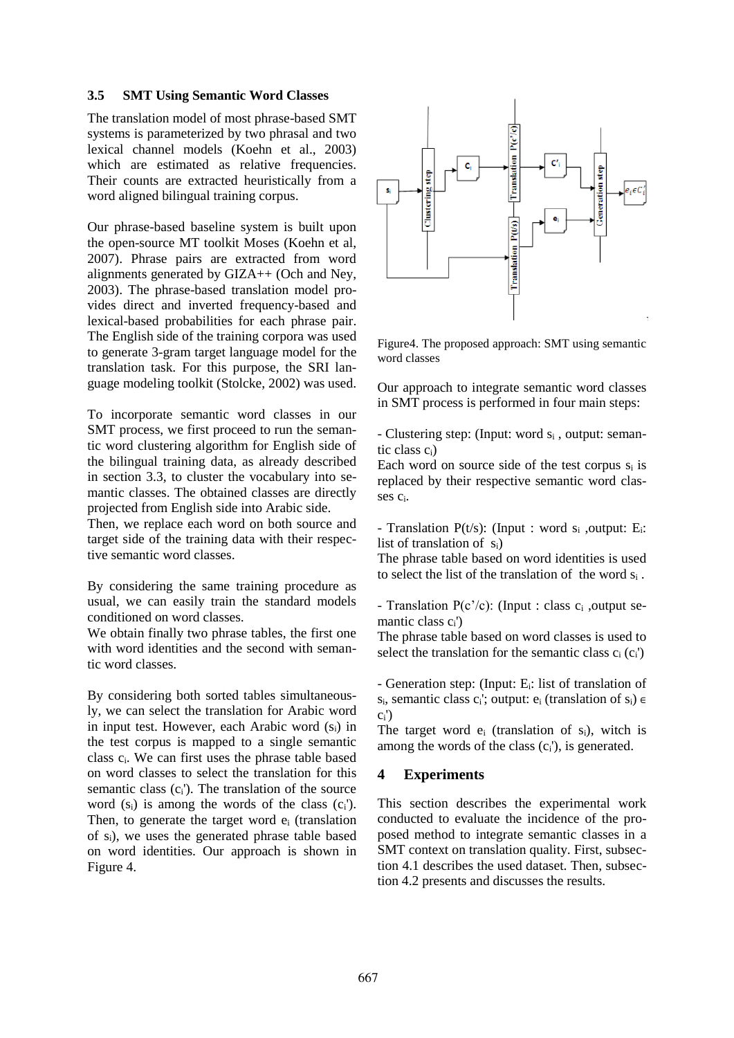### **3.5 SMT Using Semantic Word Classes**

The translation model of most phrase-based SMT systems is parameterized by two phrasal and two lexical channel models (Koehn et al., 2003) which are estimated as relative frequencies. Their counts are extracted heuristically from a word aligned bilingual training corpus.

Our phrase-based baseline system is built upon the open-source MT toolkit Moses (Koehn et al, 2007). Phrase pairs are extracted from word alignments generated by GIZA++ (Och and Ney, 2003). The phrase-based translation model provides direct and inverted frequency-based and lexical-based probabilities for each phrase pair. The English side of the training corpora was used to generate 3-gram target language model for the translation task. For this purpose, the SRI language modeling toolkit (Stolcke, 2002) was used.

To incorporate semantic word classes in our SMT process, we first proceed to run the semantic word clustering algorithm for English side of the bilingual training data, as already described in section 3.3, to cluster the vocabulary into semantic classes. The obtained classes are directly projected from English side into Arabic side.

Then, we replace each word on both source and target side of the training data with their respective semantic word classes.

By considering the same training procedure as usual, we can easily train the standard models conditioned on word classes.

We obtain finally two phrase tables, the first one with word identities and the second with semantic word classes.

By considering both sorted tables simultaneously, we can select the translation for Arabic word in input test. However, each Arabic word  $(s_i)$  in the test corpus is mapped to a single semantic class ci. We can first uses the phrase table based on word classes to select the translation for this semantic class  $(c_i')$ . The translation of the source word  $(s_i)$  is among the words of the class  $(c_i')$ . Then, to generate the target word e<sub>i</sub> (translation of si), we uses the generated phrase table based on word identities. Our approach is shown in Figure 4.



Figure4. The proposed approach: SMT using semantic word classes

Our approach to integrate semantic word classes in SMT process is performed in four main steps:

- Clustering step: (Input: word s<sub>i</sub>, output: semantic class ci)

Each word on source side of the test corpus  $s_i$  is replaced by their respective semantic word classes ci.

- Translation  $P(t/s)$ : (Input : word  $s_i$ , output: E<sub>i</sub>: list of translation of si)

The phrase table based on word identities is used to select the list of the translation of the word s<sup>i</sup> .

- Translation  $P(c'/c)$ : (Input : class  $c_i$ , output semantic class ci')

The phrase table based on word classes is used to select the translation for the semantic class  $c_i$  ( $c_i$ )

- Generation step: (Input: Ei: list of translation of s<sub>i</sub>, semantic class c<sub>i</sub>'; output: e<sub>i</sub> (translation of s<sub>i</sub>)  $\in$  $c_i'$ 

The target word  $e_i$  (translation of  $s_i$ ), witch is among the words of the class (ci'), is generated.

## **4 Experiments**

This section describes the experimental work conducted to evaluate the incidence of the proposed method to integrate semantic classes in a SMT context on translation quality. First, subsection 4.1 describes the used dataset. Then, subsection 4.2 presents and discusses the results.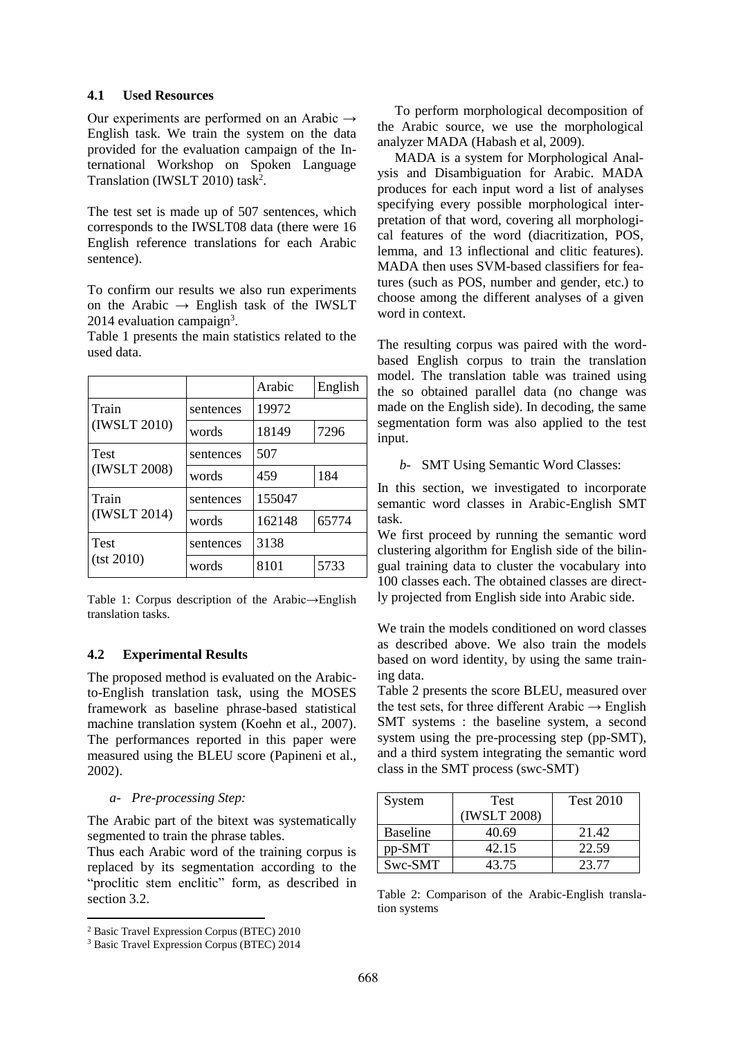## **4.1 Used Resources**

Our experiments are performed on an Arabic  $\rightarrow$ English task. We train the system on the data provided for the evaluation campaign of the International Workshop on Spoken Language Translation (IWSLT 2010) task<sup>2</sup>.

The test set is made up of 507 sentences, which corresponds to the IWSLT08 data (there were 16 English reference translations for each Arabic sentence).

To confirm our results we also run experiments on the Arabic  $\rightarrow$  English task of the IWSLT 2014 evaluation campaign<sup>3</sup>.

Table 1 presents the main statistics related to the used data.

|                             |           | Arabic | English |
|-----------------------------|-----------|--------|---------|
| Train<br>(IWSLT 2010)       | sentences | 19972  |         |
|                             | words     | 18149  | 7296    |
| <b>Test</b><br>(IWSLT 2008) | sentences | 507    |         |
|                             | words     | 459    | 184     |
| Train<br>(IWSLT 2014)       | sentences | 155047 |         |
|                             | words     | 162148 | 65774   |
| <b>Test</b><br>(tst 2010)   | sentences | 3138   |         |
|                             | words     | 8101   | 5733    |

Table 1: Corpus description of the Arabic→English translation tasks.

## **4.2 Experimental Results**

The proposed method is evaluated on the Arabicto-English translation task, using the MOSES framework as baseline phrase-based statistical machine translation system (Koehn et al., 2007). The performances reported in this paper were measured using the BLEU score (Papineni et al., 2002).

#### *a- Pre-processing Step:*

The Arabic part of the bitext was systematically segmented to train the phrase tables.

Thus each Arabic word of the training corpus is replaced by its segmentation according to the "proclitic stem enclitic" form, as described in section 3.2.

To perform morphological decomposition of the Arabic source, we use the morphological analyzer MADA (Habash et al, 2009).

MADA is a system for Morphological Analysis and Disambiguation for Arabic. MADA produces for each input word a list of analyses specifying every possible morphological interpretation of that word, covering all morphological features of the word (diacritization, POS, lemma, and 13 inflectional and clitic features). MADA then uses SVM-based classifiers for features (such as POS, number and gender, etc.) to choose among the different analyses of a given word in context.

The resulting corpus was paired with the wordbased English corpus to train the translation model. The translation table was trained using the so obtained parallel data (no change was made on the English side). In decoding, the same segmentation form was also applied to the test input.

*b-* SMT Using Semantic Word Classes:

In this section, we investigated to incorporate semantic word classes in Arabic-English SMT task.

We first proceed by running the semantic word clustering algorithm for English side of the bilingual training data to cluster the vocabulary into 100 classes each. The obtained classes are directly projected from English side into Arabic side.

We train the models conditioned on word classes as described above. We also train the models based on word identity, by using the same training data.

Table 2 presents the score BLEU, measured over the test sets, for three different Arabic  $\rightarrow$  English SMT systems : the baseline system, a second system using the pre-processing step (pp-SMT), and a third system integrating the semantic word class in the SMT process (swc-SMT)

| System          | <b>Test</b>  | <b>Test 2010</b> |  |
|-----------------|--------------|------------------|--|
|                 | (IWSLT 2008) |                  |  |
| <b>Baseline</b> | 40.69        | 21.42            |  |
| pp-SMT          | 42.15        | 22.59            |  |
| Swc-SMT         | 43.75        | 23 77            |  |

Table 2: Comparison of the Arabic-English translation systems

<sup>2</sup> Basic Travel Expression Corpus (BTEC) 2010

<sup>3</sup> Basic Travel Expression Corpus (BTEC) 2014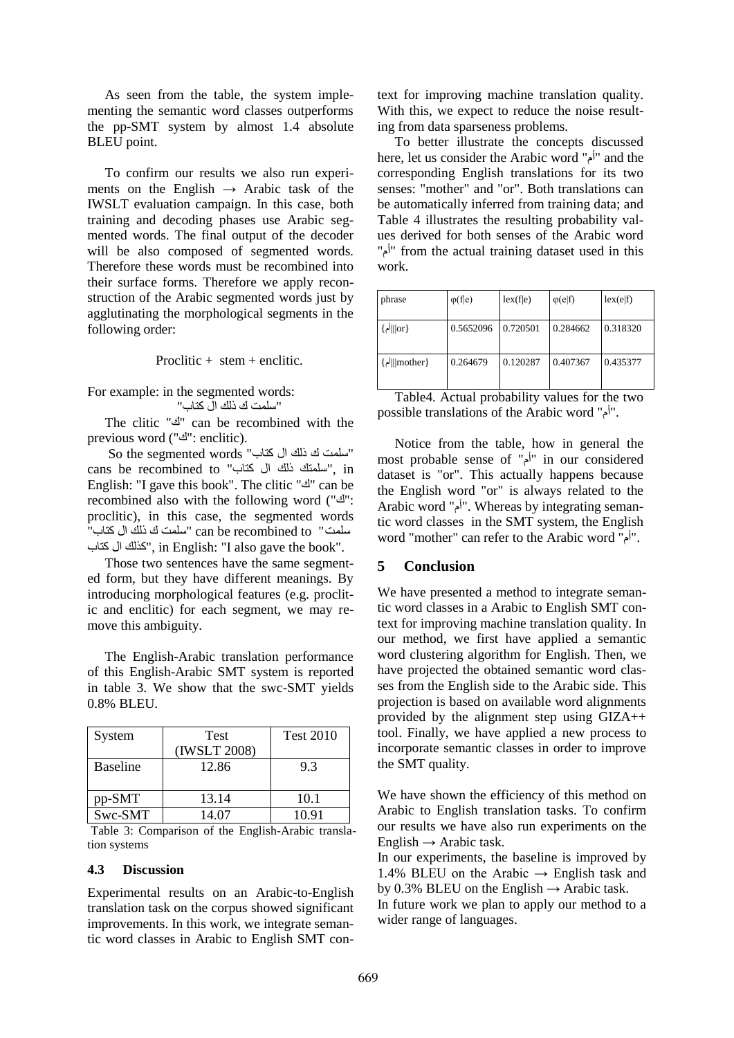As seen from the table, the system implementing the semantic word classes outperforms the pp-SMT system by almost 1.4 absolute BLEU point.

To confirm our results we also run experiments on the English  $\rightarrow$  Arabic task of the IWSLT evaluation campaign. In this case, both training and decoding phases use Arabic segmented words. The final output of the decoder will be also composed of segmented words. Therefore these words must be recombined into their surface forms. Therefore we apply reconstruction of the Arabic segmented words just by agglutinating the morphological segments in the following order:

Proclitic  $+$  stem  $+$  enclitic.

For example: in the segmented words: "سلمت ك ذلك ال كتاب"

The clitic "ك" can be recombined with the previous word ("ك": enclitic).

"سلمت ك ذلك ال كتاب" words segmented the So cans be recombined to "كتاب ال ذلك سلمتك", in English: "I gave this book". The clitic "ك" can be recombined also with the following word ("ك": proclitic), in this case, the segmented words سلمت " to recombined be can" سلمت ك ذلك ال كتاب" كتاب ال كذلك", in English: "I also gave the book".

Those two sentences have the same segmented form, but they have different meanings. By introducing morphological features (e.g. proclitic and enclitic) for each segment, we may remove this ambiguity.

The English-Arabic translation performance of this English-Arabic SMT system is reported in table 3. We show that the swc-SMT yields 0.8% BLEU.

| System          | <b>Test</b><br>(IWSLT 2008) | <b>Test 2010</b> |
|-----------------|-----------------------------|------------------|
| <b>Baseline</b> | 12.86                       | 9.3              |
| pp-SMT          | 13.14                       | 10.1             |
| Swc-SMT         | 14.07                       | 10.91            |

Table 3: Comparison of the English-Arabic translation systems

#### **4.3 Discussion**

Experimental results on an Arabic-to-English translation task on the corpus showed significant improvements. In this work, we integrate semantic word classes in Arabic to English SMT con-

text for improving machine translation quality. With this, we expect to reduce the noise resulting from data sparseness problems.

To better illustrate the concepts discussed here, let us consider the Arabic word "أم "and the corresponding English translations for its two senses: "mother" and "or". Both translations can be automatically inferred from training data; and Table 4 illustrates the resulting probability values derived for both senses of the Arabic word "أم" from the actual training dataset used in this work.

| phrase        | $\varphi$ (f e) | lex(f e) | $\varphi(e f)$ | lex(e f) |
|---------------|-----------------|----------|----------------|----------|
| { or ∥أم}     | 0.5652096       | 0.720501 | 0.284662       | 0.318320 |
| {mother]  أم} | 0.264679        | 0.120287 | 0.407367       | 0.435377 |

Table4. Actual probability values for the two possible translations of the Arabic word "أم".

Notice from the table, how in general the most probable sense of "أم "in our considered dataset is "or". This actually happens because the English word "or" is always related to the Arabic word "أم". Whereas by integrating semantic word classes in the SMT system, the English word "mother" can refer to the Arabic word "أم".

## **5 Conclusion**

We have presented a method to integrate semantic word classes in a Arabic to English SMT context for improving machine translation quality. In our method, we first have applied a semantic word clustering algorithm for English. Then, we have projected the obtained semantic word classes from the English side to the Arabic side. This projection is based on available word alignments provided by the alignment step using GIZA++ tool. Finally, we have applied a new process to incorporate semantic classes in order to improve the SMT quality.

We have shown the efficiency of this method on Arabic to English translation tasks. To confirm our results we have also run experiments on the English  $\rightarrow$  Arabic task.

In our experiments, the baseline is improved by 1.4% BLEU on the Arabic  $\rightarrow$  English task and by 0.3% BLEU on the English  $\rightarrow$  Arabic task.

In future work we plan to apply our method to a wider range of languages.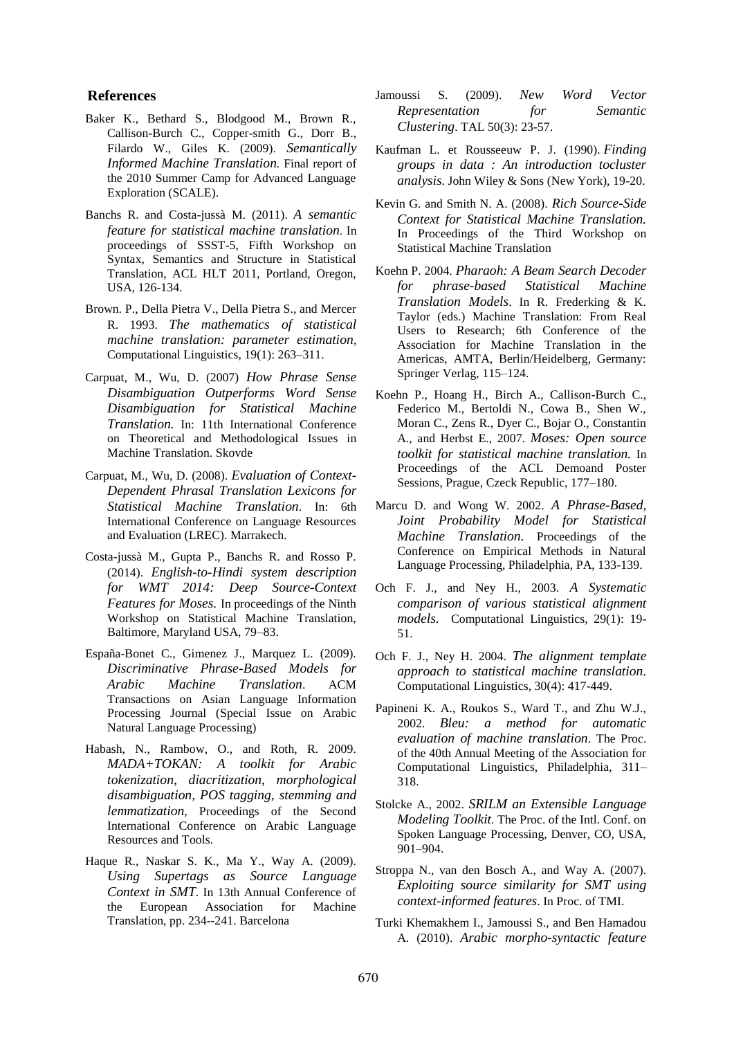#### **References**

- Baker K., Bethard S., Blodgood M., Brown R., Callison-Burch C., Copper-smith G., Dorr B., Filardo W., Giles K. (2009). *Semantically Informed Machine Translation.* Final report of the 2010 Summer Camp for Advanced Language Exploration (SCALE).
- Banchs R. and Costa-jussà M. (2011). *A semantic feature for statistical machine translation*. In proceedings of SSST-5, Fifth Workshop on Syntax, Semantics and Structure in Statistical Translation, ACL HLT 2011, Portland, Oregon, USA, 126-134.
- Brown. P., Della Pietra V., Della Pietra S., and Mercer R. 1993. *The mathematics of statistical machine translation: parameter estimation*, Computational Linguistics, 19(1): 263–311.
- Carpuat, M., Wu, D. (2007) *How Phrase Sense Disambiguation Outperforms Word Sense Disambiguation for Statistical Machine Translation.* In: 11th International Conference on Theoretical and Methodological Issues in Machine Translation. Skovde
- Carpuat, M., Wu, D. (2008). *Evaluation of Context-Dependent Phrasal Translation Lexicons for Statistical Machine Translation*. In: 6th International Conference on Language Resources and Evaluation (LREC). Marrakech.
- Costa-jussà M., Gupta P., Banchs R. and Rosso P. (2014). *English-to-Hindi system description for WMT 2014: Deep Source-Context Features for Moses.* In proceedings of the Ninth Workshop on Statistical Machine Translation, Baltimore, Maryland USA, 79–83.
- España-Bonet C., Gimenez J., Marquez L. (2009). *Discriminative Phrase-Based Models for Arabic Machine Translation*. ACM Transactions on Asian Language Information Processing Journal (Special Issue on Arabic Natural Language Processing)
- Habash, N., Rambow, O., and Roth, R. 2009. *MADA+TOKAN: A toolkit for Arabic tokenization, diacritization, morphological disambiguation, POS tagging, stemming and lemmatization,* Proceedings of the Second International Conference on Arabic Language Resources and Tools.
- Haque R., Naskar S. K., Ma Y., Way A. (2009). *Using Supertags as Source Language Context in SMT*. In 13th Annual Conference of the European Association for Machine Translation, pp. 234--241. Barcelona
- Jamoussi S. (2009). *New Word Vector Representation for Semantic Clustering*. TAL 50(3): 23-57.
- Kaufman L. et Rousseeuw P. J. (1990). *Finding groups in data : An introduction tocluster analysis*. John Wiley & Sons (New York), 19-20.
- Kevin G. and Smith N. A. (2008). *Rich Source-Side Context for Statistical Machine Translation.* In Proceedings of the Third Workshop on Statistical Machine Translation
- Koehn P. 2004. *Pharaoh: A Beam Search Decoder for phrase-based Statistical Machine Translation Models*. In R. Frederking & K. Taylor (eds.) Machine Translation: From Real Users to Research; 6th Conference of the Association for Machine Translation in the Americas, AMTA, Berlin/Heidelberg, Germany: Springer Verlag, 115–124.
- Koehn P., Hoang H., Birch A., Callison-Burch C., Federico M., Bertoldi N., Cowa B., Shen W., Moran C., Zens R., Dyer C., Bojar O., Constantin A., and Herbst E., 2007. *Moses: Open source toolkit for statistical machine translation.* In Proceedings of the ACL Demoand Poster Sessions, Prague, Czeck Republic, 177–180.
- Marcu D. and Wong W. 2002. *A Phrase-Based, Joint Probability Model for Statistical Machine Translation.* Proceedings of the Conference on Empirical Methods in Natural Language Processing, Philadelphia, PA, 133-139.
- Och F. J., and Ney H., 2003. *A Systematic comparison of various statistical alignment models.* Computational Linguistics, 29(1): 19- 51.
- Och F. J., Ney H. 2004. *The alignment template approach to statistical machine translation.* Computational Linguistics, 30(4): 417-449.
- Papineni K. A., Roukos S., Ward T., and Zhu W.J., 2002. *Bleu: a method for automatic evaluation of machine translation*. The Proc. of the 40th Annual Meeting of the Association for Computational Linguistics, Philadelphia, 311– 318.
- Stolcke A., 2002. *SRILM an Extensible Language Modeling Toolkit.* The Proc. of the Intl. Conf. on Spoken Language Processing, Denver, CO, USA, 901–904.
- Stroppa N., van den Bosch A., and Way A. (2007). *Exploiting source similarity for SMT using context-informed features*. In Proc. of TMI.
- Turki Khemakhem I., Jamoussi S., and Ben Hamadou A. (2010). *Arabic morpho-syntactic feature*